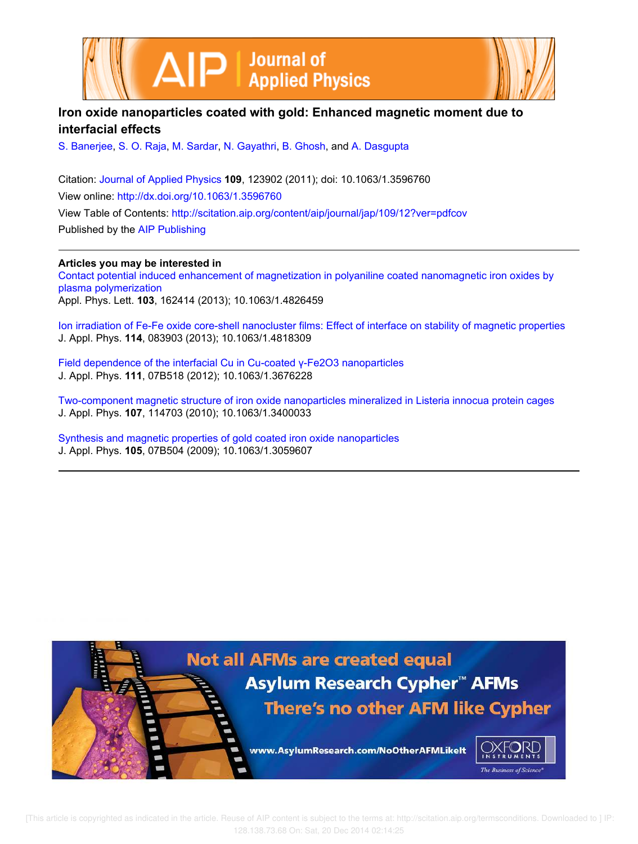



# **Iron oxide nanoparticles coated with gold: Enhanced magnetic moment due to interfacial effects**

S. Banerjee, S. O. Raja, M. Sardar, N. Gayathri, B. Ghosh, and A. Dasgupta

Citation: Journal of Applied Physics **109**, 123902 (2011); doi: 10.1063/1.3596760 View online: http://dx.doi.org/10.1063/1.3596760 View Table of Contents: http://scitation.aip.org/content/aip/journal/jap/109/12?ver=pdfcov Published by the AIP Publishing

**Articles you may be interested in**

Contact potential induced enhancement of magnetization in polyaniline coated nanomagnetic iron oxides by plasma polymerization Appl. Phys. Lett. **103**, 162414 (2013); 10.1063/1.4826459

Ion irradiation of Fe-Fe oxide core-shell nanocluster films: Effect of interface on stability of magnetic properties J. Appl. Phys. **114**, 083903 (2013); 10.1063/1.4818309

Field dependence of the interfacial Cu in Cu-coated γ-Fe2O3 nanoparticles J. Appl. Phys. **111**, 07B518 (2012); 10.1063/1.3676228

Two-component magnetic structure of iron oxide nanoparticles mineralized in Listeria innocua protein cages J. Appl. Phys. **107**, 114703 (2010); 10.1063/1.3400033

Synthesis and magnetic properties of gold coated iron oxide nanoparticles J. Appl. Phys. **105**, 07B504 (2009); 10.1063/1.3059607

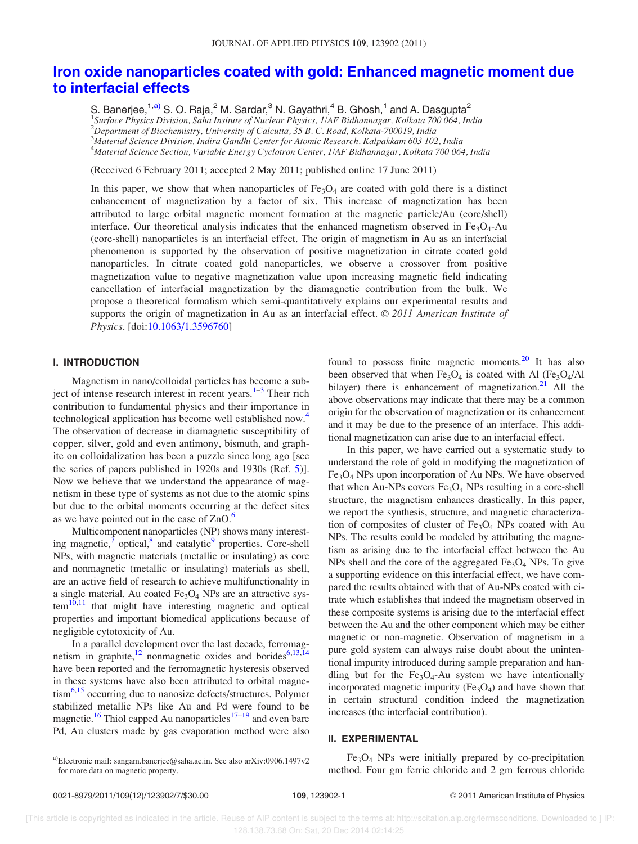# Iron oxide nanoparticles coated with gold: Enhanced magnetic moment due to interfacial effects

S. Banerjee,  $1, a)$  S. O. Raja,  $^2$  M. Sardar,  $^3$  N. Gayathri,  $^4$  B. Ghosh,  $^1$  and A. Dasgupta $^2$ <sup>1</sup>Surface Physics Division, Saha Insitute of Nuclear Physics, 1/AF Bidhannagar, Kolkata 700 064, India<br><sup>2</sup>Department of Biochemistry, University of Calcutta, 35 B. C. Road, Kolkata-700019, India  $^3$ Material Science Division, Indira Gandhi Center for Atomic Research, Kalpakkam 603 102, India <sup>4</sup>Material Science Section, Variable Energy Cyclotron Center, 1/AF Bidhannagar, Kolkata 700 064, India

(Received 6 February 2011; accepted 2 May 2011; published online 17 June 2011)

In this paper, we show that when nanoparticles of  $Fe<sub>3</sub>O<sub>4</sub>$  are coated with gold there is a distinct enhancement of magnetization by a factor of six. This increase of magnetization has been attributed to large orbital magnetic moment formation at the magnetic particle/Au (core/shell) interface. Our theoretical analysis indicates that the enhanced magnetism observed in  $Fe<sub>3</sub>O<sub>4</sub>$ -Au (core-shell) nanoparticles is an interfacial effect. The origin of magnetism in Au as an interfacial phenomenon is supported by the observation of positive magnetization in citrate coated gold nanoparticles. In citrate coated gold nanoparticles, we observe a crossover from positive magnetization value to negative magnetization value upon increasing magnetic field indicating cancellation of interfacial magnetization by the diamagnetic contribution from the bulk. We propose a theoretical formalism which semi-quantitatively explains our experimental results and supports the origin of magnetization in Au as an interfacial effect.  $\odot$  2011 American Institute of Physics. [doi:10.1063/1.3596760]

## I. INTRODUCTION

Magnetism in nano/colloidal particles has become a subject of intense research interest in recent years.<sup>1-3</sup> Their rich contribution to fundamental physics and their importance in technological application has become well established now.<sup>4</sup> The observation of decrease in diamagnetic susceptibility of copper, silver, gold and even antimony, bismuth, and graphite on colloidalization has been a puzzle since long ago [see the series of papers published in 1920s and 1930s (Ref. 5)]. Now we believe that we understand the appearance of magnetism in these type of systems as not due to the atomic spins but due to the orbital moments occurring at the defect sites as we have pointed out in the case of ZnO.<sup>6</sup>

Multicomponent nanoparticles (NP) shows many interesting magnetic,<sup>7</sup> optical,<sup>8</sup> and catalytic<sup>9</sup> properties. Core-shell NPs, with magnetic materials (metallic or insulating) as core and nonmagnetic (metallic or insulating) materials as shell, are an active field of research to achieve multifunctionality in a single material. Au coated  $Fe<sub>3</sub>O<sub>4</sub>$  NPs are an attractive sys $tem<sup>10,11</sup>$  that might have interesting magnetic and optical properties and important biomedical applications because of negligible cytotoxicity of Au.

In a parallel development over the last decade, ferromagnetism in graphite,<sup>12</sup> nonmagnetic oxides and borides<sup>6,13,14</sup> have been reported and the ferromagnetic hysteresis observed in these systems have also been attributed to orbital magnetism<sup>6,15</sup> occurring due to nanosize defects/structures. Polymer stabilized metallic NPs like Au and Pd were found to be magnetic.<sup>16</sup> Thiol capped Au nanoparticles<sup>17–19</sup> and even bare Pd, Au clusters made by gas evaporation method were also found to possess finite magnetic moments. $^{20}$  It has also been observed that when  $Fe<sub>3</sub>O<sub>4</sub>$  is coated with Al (Fe<sub>3</sub>O<sub>4</sub>/Al bilayer) there is enhancement of magnetization. $21$  All the above observations may indicate that there may be a common origin for the observation of magnetization or its enhancement and it may be due to the presence of an interface. This additional magnetization can arise due to an interfacial effect.

In this paper, we have carried out a systematic study to understand the role of gold in modifying the magnetization of  $Fe<sub>3</sub>O<sub>4</sub>$  NPs upon incorporation of Au NPs. We have observed that when Au-NPs covers  $Fe<sub>3</sub>O<sub>4</sub>$  NPs resulting in a core-shell structure, the magnetism enhances drastically. In this paper, we report the synthesis, structure, and magnetic characterization of composites of cluster of  $Fe<sub>3</sub>O<sub>4</sub>$  NPs coated with Au NPs. The results could be modeled by attributing the magnetism as arising due to the interfacial effect between the Au NPs shell and the core of the aggregated  $Fe<sub>3</sub>O<sub>4</sub>$  NPs. To give a supporting evidence on this interfacial effect, we have compared the results obtained with that of Au-NPs coated with citrate which establishes that indeed the magnetism observed in these composite systems is arising due to the interfacial effect between the Au and the other component which may be either magnetic or non-magnetic. Observation of magnetism in a pure gold system can always raise doubt about the unintentional impurity introduced during sample preparation and handling but for the  $Fe<sub>3</sub>O<sub>4</sub>$ -Au system we have intentionally incorporated magnetic impurity  $(Fe<sub>3</sub>O<sub>4</sub>)$  and have shown that in certain structural condition indeed the magnetization increases (the interfacial contribution).

## II. EXPERIMENTAL

Fe3O<sup>4</sup> NPs were initially prepared by co-precipitation method. Four gm ferric chloride and 2 gm ferrous chloride

a)Electronic mail: sangam.banerjee@saha.ac.in. See also arXiv:0906.1497v2 for more data on magnetic property.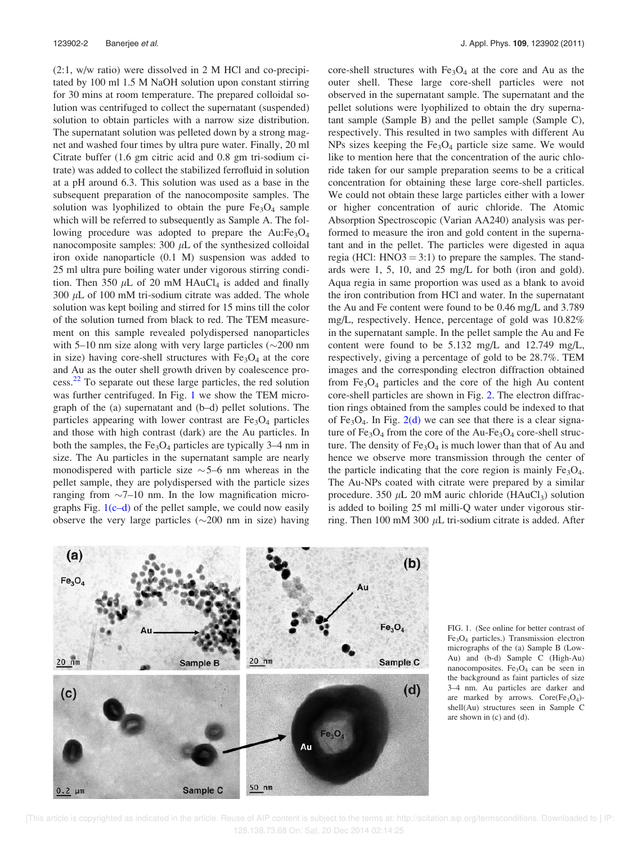(2:1, w/w ratio) were dissolved in 2 M HCl and co-precipitated by 100 ml 1.5 M NaOH solution upon constant stirring for 30 mins at room temperature. The prepared colloidal solution was centrifuged to collect the supernatant (suspended) solution to obtain particles with a narrow size distribution. The supernatant solution was pelleted down by a strong magnet and washed four times by ultra pure water. Finally, 20 ml Citrate buffer (1.6 gm citric acid and 0.8 gm tri-sodium citrate) was added to collect the stabilized ferrofluid in solution at a pH around 6.3. This solution was used as a base in the subsequent preparation of the nanocomposite samples. The solution was lyophilized to obtain the pure  $Fe<sub>3</sub>O<sub>4</sub>$  sample which will be referred to subsequently as Sample A. The following procedure was adopted to prepare the  $Au:Fe<sub>3</sub>O<sub>4</sub>$ nanocomposite samples:  $300 \mu L$  of the synthesized colloidal iron oxide nanoparticle (0.1 M) suspension was added to 25 ml ultra pure boiling water under vigorous stirring condition. Then 350  $\mu$ L of 20 mM HAuCl<sub>4</sub> is added and finally 300  $\mu$ L of 100 mM tri-sodium citrate was added. The whole solution was kept boiling and stirred for 15 mins till the color of the solution turned from black to red. The TEM measurement on this sample revealed polydispersed nanoparticles with 5–10 nm size along with very large particles  $(\sim 200$  nm in size) having core-shell structures with  $Fe<sub>3</sub>O<sub>4</sub>$  at the core and Au as the outer shell growth driven by coalescence process.<sup>22</sup> To separate out these large particles, the red solution was further centrifuged. In Fig. 1 we show the TEM micrograph of the (a) supernatant and (b–d) pellet solutions. The particles appearing with lower contrast are  $Fe<sub>3</sub>O<sub>4</sub>$  particles and those with high contrast (dark) are the Au particles. In both the samples, the  $Fe<sub>3</sub>O<sub>4</sub>$  particles are typically 3–4 nm in size. The Au particles in the supernatant sample are nearly monodispered with particle size  $\sim$  5–6 nm whereas in the pellet sample, they are polydispersed with the particle sizes ranging from  $\sim$ 7–10 nm. In the low magnification micrographs Fig.  $1(c-d)$  of the pellet sample, we could now easily observe the very large particles  $(\sim 200$  nm in size) having

core-shell structures with  $Fe<sub>3</sub>O<sub>4</sub>$  at the core and Au as the outer shell. These large core-shell particles were not observed in the supernatant sample. The supernatant and the pellet solutions were lyophilized to obtain the dry supernatant sample (Sample B) and the pellet sample (Sample C), respectively. This resulted in two samples with different Au NPs sizes keeping the  $Fe<sub>3</sub>O<sub>4</sub>$  particle size same. We would like to mention here that the concentration of the auric chloride taken for our sample preparation seems to be a critical concentration for obtaining these large core-shell particles. We could not obtain these large particles either with a lower or higher concentration of auric chloride. The Atomic Absorption Spectroscopic (Varian AA240) analysis was performed to measure the iron and gold content in the supernatant and in the pellet. The particles were digested in aqua regia (HCl: HNO3 = 3:1) to prepare the samples. The standards were 1, 5, 10, and 25 mg/L for both (iron and gold). Aqua regia in same proportion was used as a blank to avoid the iron contribution from HCl and water. In the supernatant the Au and Fe content were found to be 0.46 mg/L and 3.789 mg/L, respectively. Hence, percentage of gold was 10.82% in the supernatant sample. In the pellet sample the Au and Fe content were found to be 5.132 mg/L and 12.749 mg/L, respectively, giving a percentage of gold to be 28.7%. TEM images and the corresponding electron diffraction obtained from  $Fe<sub>3</sub>O<sub>4</sub>$  particles and the core of the high Au content core-shell particles are shown in Fig. 2. The electron diffraction rings obtained from the samples could be indexed to that of  $Fe<sub>3</sub>O<sub>4</sub>$ . In Fig. 2(d) we can see that there is a clear signature of  $Fe<sub>3</sub>O<sub>4</sub>$  from the core of the Au-Fe<sub>3</sub>O<sub>4</sub> core-shell structure. The density of  $Fe<sub>3</sub>O<sub>4</sub>$  is much lower than that of Au and hence we observe more transmission through the center of the particle indicating that the core region is mainly  $Fe<sub>3</sub>O<sub>4</sub>$ . The Au-NPs coated with citrate were prepared by a similar procedure. 350  $\mu$ L 20 mM auric chloride (HAuCl<sub>3</sub>) solution is added to boiling 25 ml milli-Q water under vigorous stirring. Then 100 mM 300  $\mu$ L tri-sodium citrate is added. After



FIG. 1. (See online for better contrast of Fe3O<sup>4</sup> particles.) Transmission electron micrographs of the (a) Sample B (Low-Au) and (b-d) Sample C (High-Au) nanocomposites. Fe<sub>3</sub>O<sub>4</sub> can be seen in the background as faint particles of size 3–4 nm. Au particles are darker and are marked by arrows.  $Core(Fe<sub>3</sub>O<sub>4</sub>)$ shell(Au) structures seen in Sample C are shown in (c) and (d).

 [This article is copyrighted as indicated in the article. Reuse of AIP content is subject to the terms at: http://scitation.aip.org/termsconditions. Downloaded to ] IP: 128.138.73.68 On: Sat, 20 Dec 2014 02:14:25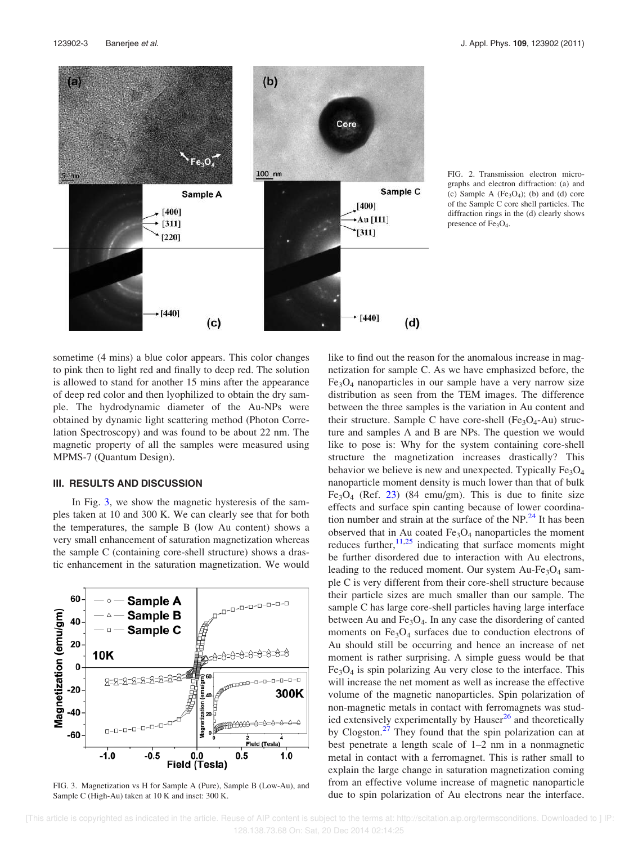

FIG. 2. Transmission electron micrographs and electron diffraction: (a) and (c) Sample A ( $Fe<sub>3</sub>O<sub>4</sub>$ ); (b) and (d) core of the Sample C core shell particles. The diffraction rings in the (d) clearly shows presence of  $Fe<sub>3</sub>O<sub>4</sub>$ .

sometime (4 mins) a blue color appears. This color changes to pink then to light red and finally to deep red. The solution is allowed to stand for another 15 mins after the appearance of deep red color and then lyophilized to obtain the dry sample. The hydrodynamic diameter of the Au-NPs were obtained by dynamic light scattering method (Photon Correlation Spectroscopy) and was found to be about 22 nm. The magnetic property of all the samples were measured using MPMS-7 (Quantum Design).

#### III. RESULTS AND DISCUSSION

In Fig. 3, we show the magnetic hysteresis of the samples taken at 10 and 300 K. We can clearly see that for both the temperatures, the sample B (low Au content) shows a very small enhancement of saturation magnetization whereas the sample C (containing core-shell structure) shows a drastic enhancement in the saturation magnetization. We would



FIG. 3. Magnetization vs H for Sample A (Pure), Sample B (Low-Au), and Sample C (High-Au) taken at 10 K and inset: 300 K.

like to find out the reason for the anomalous increase in magnetization for sample C. As we have emphasized before, the  $Fe<sub>3</sub>O<sub>4</sub>$  nanoparticles in our sample have a very narrow size distribution as seen from the TEM images. The difference between the three samples is the variation in Au content and their structure. Sample C have core-shell (Fe<sub>3</sub>O<sub>4</sub>-Au) structure and samples A and B are NPs. The question we would like to pose is: Why for the system containing core-shell structure the magnetization increases drastically? This behavior we believe is new and unexpected. Typically  $Fe<sub>3</sub>O<sub>4</sub>$ nanoparticle moment density is much lower than that of bulk Fe<sub>3</sub>O<sub>4</sub> (Ref. 23) (84 emu/gm). This is due to finite size effects and surface spin canting because of lower coordination number and strain at the surface of the  $NP<sup>24</sup>$  It has been observed that in Au coated  $Fe<sub>3</sub>O<sub>4</sub>$  nanoparticles the moment reduces further,  $11,25$  indicating that surface moments might be further disordered due to interaction with Au electrons, leading to the reduced moment. Our system Au-Fe<sub>3</sub>O<sub>4</sub> sample C is very different from their core-shell structure because their particle sizes are much smaller than our sample. The sample C has large core-shell particles having large interface between Au and  $Fe<sub>3</sub>O<sub>4</sub>$ . In any case the disordering of canted moments on  $Fe<sub>3</sub>O<sub>4</sub>$  surfaces due to conduction electrons of Au should still be occurring and hence an increase of net moment is rather surprising. A simple guess would be that  $Fe<sub>3</sub>O<sub>4</sub>$  is spin polarizing Au very close to the interface. This will increase the net moment as well as increase the effective volume of the magnetic nanoparticles. Spin polarization of non-magnetic metals in contact with ferromagnets was studied extensively experimentally by Hauser $^{26}$  and theoretically by Clogston.<sup>27</sup> They found that the spin polarization can at best penetrate a length scale of 1–2 nm in a nonmagnetic metal in contact with a ferromagnet. This is rather small to explain the large change in saturation magnetization coming from an effective volume increase of magnetic nanoparticle due to spin polarization of Au electrons near the interface.

 [This article is copyrighted as indicated in the article. Reuse of AIP content is subject to the terms at: http://scitation.aip.org/termsconditions. Downloaded to ] IP: 128.138.73.68 On: Sat, 20 Dec 2014 02:14:25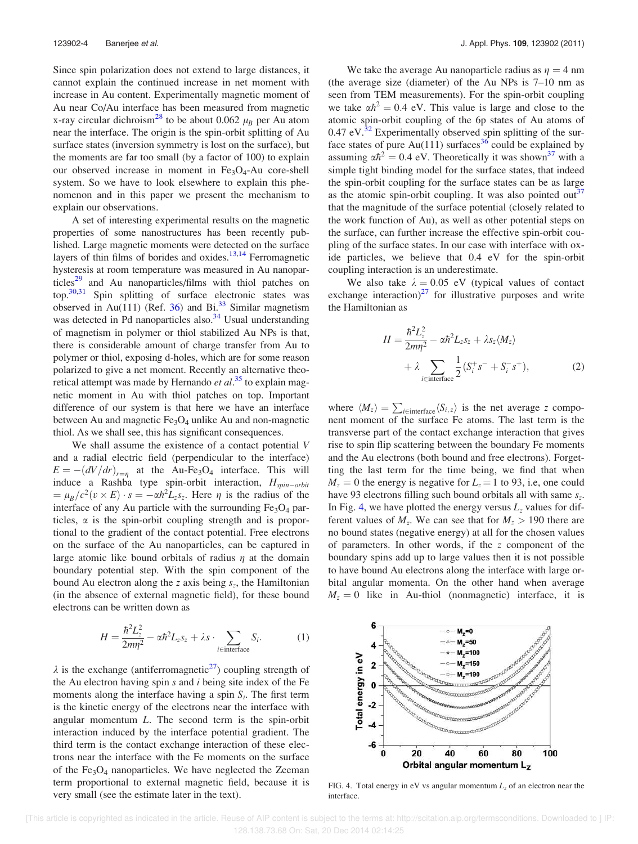Since spin polarization does not extend to large distances, it cannot explain the continued increase in net moment with increase in Au content. Experimentally magnetic moment of Au near Co/Au interface has been measured from magnetic x-ray circular dichroism<sup>28</sup> to be about 0.062  $\mu_B$  per Au atom near the interface. The origin is the spin-orbit splitting of Au surface states (inversion symmetry is lost on the surface), but the moments are far too small (by a factor of 100) to explain our observed increase in moment in  $Fe<sub>3</sub>O<sub>4</sub>$ -Au core-shell system. So we have to look elsewhere to explain this phenomenon and in this paper we present the mechanism to explain our observations.

A set of interesting experimental results on the magnetic properties of some nanostructures has been recently published. Large magnetic moments were detected on the surface layers of thin films of borides and oxides. $13,14$  Ferromagnetic hysteresis at room temperature was measured in Au nanoparticles<sup>29</sup> and Au nanoparticles/films with thiol patches on top.30,31 Spin splitting of surface electronic states was observed in Au(111) (Ref. 36) and Bi.<sup>33</sup> Similar magnetism was detected in Pd nanoparticles also.<sup>34</sup> Usual understanding of magnetism in polymer or thiol stabilized Au NPs is that, there is considerable amount of charge transfer from Au to polymer or thiol, exposing d-holes, which are for some reason polarized to give a net moment. Recently an alternative theoretical attempt was made by Hernando et al.<sup>35</sup> to explain magnetic moment in Au with thiol patches on top. Important difference of our system is that here we have an interface between Au and magnetic  $Fe<sub>3</sub>O<sub>4</sub>$  unlike Au and non-magnetic thiol. As we shall see, this has significant consequences.

We shall assume the existence of a contact potential V and a radial electric field (perpendicular to the interface)  $E = -(dV/dr)_{r=\eta}$  at the Au-Fe<sub>3</sub>O<sub>4</sub> interface. This will induce a Rashba type spin-orbit interaction,  $H_{spin-orbit}$  $=\mu_B/c^2(v\times E)\cdot s=-\alpha\hbar^2L_zs_z$ . Here  $\eta$  is the radius of the interface of any Au particle with the surrounding  $Fe<sub>3</sub>O<sub>4</sub>$  particles,  $\alpha$  is the spin-orbit coupling strength and is proportional to the gradient of the contact potential. Free electrons on the surface of the Au nanoparticles, can be captured in large atomic like bound orbitals of radius  $\eta$  at the domain boundary potential step. With the spin component of the bound Au electron along the  $z$  axis being  $s_z$ , the Hamiltonian (in the absence of external magnetic field), for these bound electrons can be written down as

$$
H = \frac{\hbar^2 L_z^2}{2m\eta^2} - \alpha \hbar^2 L_z s_z + \lambda s \cdot \sum_{i \in \text{interface}} S_i.
$$
 (1)

 $\lambda$  is the exchange (antiferromagnetic<sup>27</sup>) coupling strength of the Au electron having spin  $s$  and  $i$  being site index of the Fe moments along the interface having a spin  $S_i$ . The first term is the kinetic energy of the electrons near the interface with angular momentum L. The second term is the spin-orbit interaction induced by the interface potential gradient. The third term is the contact exchange interaction of these electrons near the interface with the Fe moments on the surface of the Fe<sub>3</sub>O<sub>4</sub> nanoparticles. We have neglected the Zeeman term proportional to external magnetic field, because it is very small (see the estimate later in the text).

We take the average Au nanoparticle radius as  $\eta = 4$  nm (the average size (diameter) of the Au NPs is 7–10 nm as seen from TEM measurements). For the spin-orbit coupling we take  $\alpha \hbar^2 = 0.4$  eV. This value is large and close to the atomic spin-orbit coupling of the 6p states of Au atoms of  $0.47$  eV.<sup>32</sup> Experimentally observed spin splitting of the surface states of pure Au(111) surfaces<sup>36</sup> could be explained by assuming  $\alpha \hbar^2 = 0.4$  eV. Theoretically it was shown<sup>37</sup> with a simple tight binding model for the surface states, that indeed the spin-orbit coupling for the surface states can be as large as the atomic spin-orbit coupling. It was also pointed  $out<sup>37</sup>$ that the magnitude of the surface potential (closely related to the work function of Au), as well as other potential steps on the surface, can further increase the effective spin-orbit coupling of the surface states. In our case with interface with oxide particles, we believe that 0.4 eV for the spin-orbit coupling interaction is an underestimate.

We also take  $\lambda = 0.05$  eV (typical values of contact exchange interaction) $^{27}$  for illustrative purposes and write the Hamiltonian as

$$
H = \frac{\hbar^2 L_z^2}{2m\eta^2} - \alpha \hbar^2 L_z s_z + \lambda s_z \langle M_z \rangle
$$
  
+  $\lambda \sum_{i \in \text{interface}} \frac{1}{2} (S_i^+ s^- + S_i^- s^+),$  (2)

where  $\langle M_z \rangle = \sum_{i \in \text{interface}} \langle S_{i,z} \rangle$  is the net average z component moment of the surface Fe atoms. The last term is the transverse part of the contact exchange interaction that gives rise to spin flip scattering between the boundary Fe moments and the Au electrons (both bound and free electrons). Forgetting the last term for the time being, we find that when  $M_z = 0$  the energy is negative for  $L_z = 1$  to 93, i.e, one could have 93 electrons filling such bound orbitals all with same  $s_z$ . In Fig. 4, we have plotted the energy versus  $L<sub>z</sub>$  values for different values of  $M_z$ . We can see that for  $M_z > 190$  there are no bound states (negative energy) at all for the chosen values of parameters. In other words, if the z component of the boundary spins add up to large values then it is not possible to have bound Au electrons along the interface with large orbital angular momenta. On the other hand when average  $M_z = 0$  like in Au-thiol (nonmagnetic) interface, it is



FIG. 4. Total energy in eV vs angular momentum  $L<sub>z</sub>$  of an electron near the interface.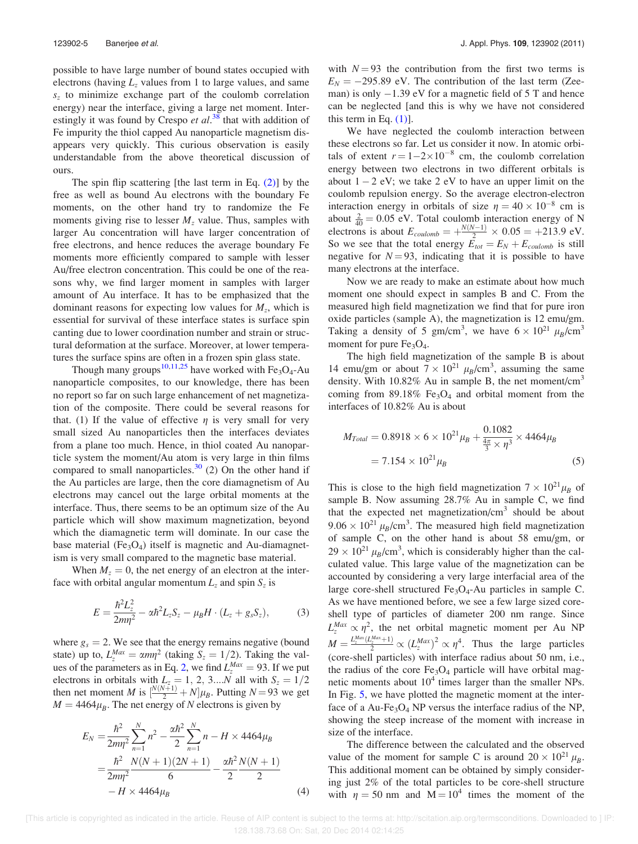possible to have large number of bound states occupied with electrons (having  $L<sub>z</sub>$  values from 1 to large values, and same  $s<sub>z</sub>$  to minimize exchange part of the coulomb correlation energy) near the interface, giving a large net moment. Interestingly it was found by Crespo et  $al.^{38}$  that with addition of Fe impurity the thiol capped Au nanoparticle magnetism disappears very quickly. This curious observation is easily understandable from the above theoretical discussion of ours.

The spin flip scattering [the last term in Eq. (2)] by the free as well as bound Au electrons with the boundary Fe moments, on the other hand try to randomize the Fe moments giving rise to lesser  $M<sub>z</sub>$  value. Thus, samples with larger Au concentration will have larger concentration of free electrons, and hence reduces the average boundary Fe moments more efficiently compared to sample with lesser Au/free electron concentration. This could be one of the reasons why, we find larger moment in samples with larger amount of Au interface. It has to be emphasized that the dominant reasons for expecting low values for  $M_z$ , which is essential for survival of these interface states is surface spin canting due to lower coordination number and strain or structural deformation at the surface. Moreover, at lower temperatures the surface spins are often in a frozen spin glass state.

Though many groups<sup>10,11,25</sup> have worked with Fe<sub>3</sub>O<sub>4</sub>-Au nanoparticle composites, to our knowledge, there has been no report so far on such large enhancement of net magnetization of the composite. There could be several reasons for that. (1) If the value of effective  $\eta$  is very small for very small sized Au nanoparticles then the interfaces deviates from a plane too much. Hence, in thiol coated Au nanoparticle system the moment/Au atom is very large in thin films compared to small nanoparticles.<sup>30</sup> (2) On the other hand if the Au particles are large, then the core diamagnetism of Au electrons may cancel out the large orbital moments at the interface. Thus, there seems to be an optimum size of the Au particle which will show maximum magnetization, beyond which the diamagnetic term will dominate. In our case the base material (Fe<sub>3</sub>O<sub>4</sub>) itself is magnetic and Au-diamagnetism is very small compared to the magnetic base material.

When  $M<sub>z</sub> = 0$ , the net energy of an electron at the interface with orbital angular momentum  $L_z$  and spin  $S_z$  is

$$
E = \frac{\hbar^2 L_z^2}{2m\eta^2} - \alpha \hbar^2 L_z S_z - \mu_B H \cdot (L_z + g_s S_z),
$$
 (3)

where  $g_s = 2$ . We see that the energy remains negative (bound state) up to,  $L_z^{Max} = \alpha m \eta^2$  (taking  $S_z = 1/2$ ). Taking the values of the parameters as in Eq. 2, we find  $L_2^{Max} = 93$ . If we put electrons in orbitals with  $L_z = 1, 2, 3...N$  all with  $S_z = 1/2$ then net moment *M* is  $\left[\frac{N(N+1)}{2} + N\right]\mu_B$ . Putting *N* = 93 we get  $M = 4464 \mu_B$ . The net energy of N electrons is given by

$$
E_N = \frac{\hbar^2}{2m\eta^2} \sum_{n=1}^N n^2 - \frac{\alpha \hbar^2}{2} \sum_{n=1}^N n - H \times 4464 \mu_B
$$
  
= 
$$
\frac{\hbar^2}{2m\eta^2} \frac{N(N+1)(2N+1)}{6} - \frac{\alpha \hbar^2}{2} \frac{N(N+1)}{2}
$$
  
- 
$$
H \times 4464 \mu_B
$$
 (4)

with  $N = 93$  the contribution from the first two terms is  $E_N = -295.89$  eV. The contribution of the last term (Zeeman) is only  $-1.39$  eV for a magnetic field of 5 T and hence can be neglected [and this is why we have not considered this term in Eq.  $(1)$ ].

We have neglected the coulomb interaction between these electrons so far. Let us consider it now. In atomic orbitals of extent  $r = 1-2 \times 10^{-8}$  cm, the coulomb correlation energy between two electrons in two different orbitals is about  $1 - 2$  eV; we take 2 eV to have an upper limit on the coulomb repulsion energy. So the average electron-electron interaction energy in orbitals of size  $\eta = 40 \times 10^{-8}$  cm is about  $\frac{2}{40} = 0.05$  eV. Total coulomb interaction energy of N electrons is about  $E_{\text{coulomb}} = +\frac{N(N-1)}{2} \times 0.05 = +213.9 \text{ eV}.$ So we see that the total energy  $\overline{E}_{tot} = E_N + E_{coulomb}$  is still negative for  $N = 93$ , indicating that it is possible to have many electrons at the interface.

Now we are ready to make an estimate about how much moment one should expect in samples B and C. From the measured high field magnetization we find that for pure iron oxide particles (sample A), the magnetization is 12 emu/gm. Taking a density of 5 gm/cm<sup>3</sup>, we have  $6 \times 10^{21} \mu_B/\text{cm}^3$ moment for pure  $Fe<sub>3</sub>O<sub>4</sub>$ .

The high field magnetization of the sample B is about 14 emu/gm or about  $7 \times 10^{21} \mu_B/\text{cm}^3$ , assuming the same density. With  $10.82\%$  Au in sample B, the net moment/cm<sup>3</sup> coming from 89.18% Fe<sub>3</sub>O<sub>4</sub> and orbital moment from the interfaces of 10.82% Au is about

$$
M_{Total} = 0.8918 \times 6 \times 10^{21} \mu_B + \frac{0.1082}{\frac{4\pi}{3} \times \eta^3} \times 4464 \mu_B
$$
  
= 7.154 × 10<sup>21</sup> \mu<sub>B</sub> (5)

This is close to the high field magnetization  $7 \times 10^{21} \mu_B$  of sample B. Now assuming 28.7% Au in sample C, we find that the expected net magnetization/cm<sup>3</sup> should be about  $9.06 \times 10^{21} \mu_B/\text{cm}^3$ . The measured high field magnetization of sample C, on the other hand is about 58 emu/gm, or  $29 \times 10^{21} \mu_B/\text{cm}^3$ , which is considerably higher than the calculated value. This large value of the magnetization can be accounted by considering a very large interfacial area of the large core-shell structured  $Fe<sub>3</sub>O<sub>4</sub>$ -Au particles in sample C. As we have mentioned before, we see a few large sized coreshell type of particles of diameter 200 nm range. Since  $L_2^{Max} \propto \eta^2$ , the net orbital magnetic moment per Au NP  $M = \frac{L_2^{Max}(L_2^{Max}+1)}{2} \propto (L_2^{Max})^2 \propto \eta^4$ . Thus the large particles (core-shell particles) with interface radius about 50 nm, i.e., the radius of the core  $Fe<sub>3</sub>O<sub>4</sub>$  particle will have orbital magnetic moments about  $10^4$  times larger than the smaller NPs. In Fig. 5, we have plotted the magnetic moment at the interface of a Au-Fe<sub>3</sub>O<sub>4</sub> NP versus the interface radius of the NP, showing the steep increase of the moment with increase in size of the interface.

The difference between the calculated and the observed value of the moment for sample C is around  $20 \times 10^{21} \mu_B$ . This additional moment can be obtained by simply considering just 2% of the total particles to be core-shell structure with  $\eta = 50$  nm and  $M = 10^4$  times the moment of the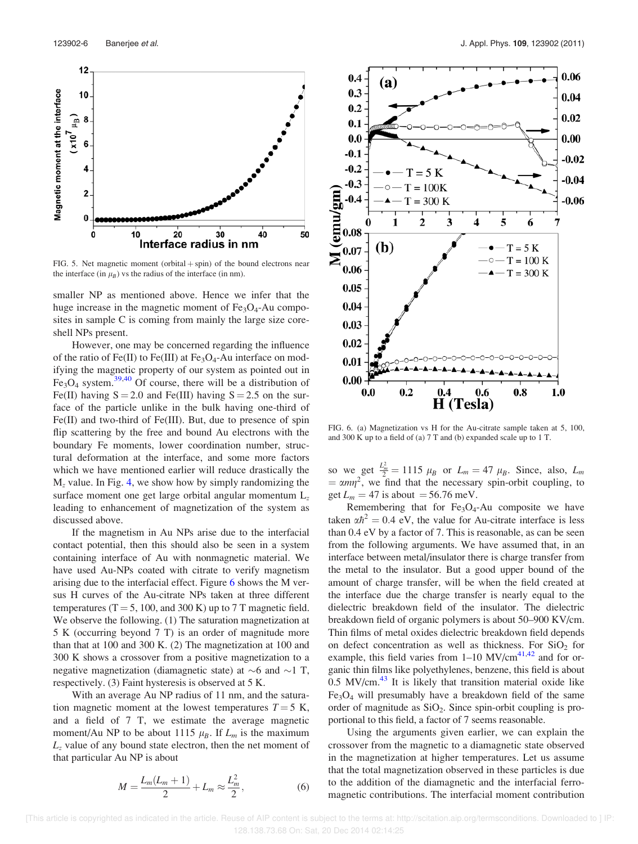

FIG. 5. Net magnetic moment (orbital  $+$  spin) of the bound electrons near the interface (in  $\mu_B$ ) vs the radius of the interface (in nm).

smaller NP as mentioned above. Hence we infer that the huge increase in the magnetic moment of  $Fe<sub>3</sub>O<sub>4</sub>$ -Au composites in sample C is coming from mainly the large size coreshell NPs present.

However, one may be concerned regarding the influence of the ratio of  $Fe(II)$  to  $Fe(III)$  at  $Fe<sub>3</sub>O<sub>4</sub>$ -Au interface on modifying the magnetic property of our system as pointed out in  $Fe<sub>3</sub>O<sub>4</sub>$  system.<sup>39,40</sup> Of course, there will be a distribution of Fe(II) having  $S = 2.0$  and Fe(III) having  $S = 2.5$  on the surface of the particle unlike in the bulk having one-third of Fe(II) and two-third of Fe(III). But, due to presence of spin flip scattering by the free and bound Au electrons with the boundary Fe moments, lower coordination number, structural deformation at the interface, and some more factors which we have mentioned earlier will reduce drastically the  $M_z$  value. In Fig. 4, we show how by simply randomizing the surface moment one get large orbital angular momentum  $L<sub>z</sub>$ leading to enhancement of magnetization of the system as discussed above.

If the magnetism in Au NPs arise due to the interfacial contact potential, then this should also be seen in a system containing interface of Au with nonmagnetic material. We have used Au-NPs coated with citrate to verify magnetism arising due to the interfacial effect. Figure 6 shows the M versus H curves of the Au-citrate NPs taken at three different temperatures ( $T = 5$ , 100, and 300 K) up to 7 T magnetic field. We observe the following. (1) The saturation magnetization at 5 K (occurring beyond 7 T) is an order of magnitude more than that at 100 and 300 K. (2) The magnetization at 100 and 300 K shows a crossover from a positive magnetization to a negative magnetization (diamagnetic state) at  $\sim$ 6 and  $\sim$ 1 T, respectively. (3) Faint hysteresis is observed at 5 K.

With an average Au NP radius of 11 nm, and the saturation magnetic moment at the lowest temperatures  $T = 5$  K, and a field of 7 T, we estimate the average magnetic moment/Au NP to be about 1115  $\mu_B$ . If  $L_m$  is the maximum  $L<sub>z</sub>$  value of any bound state electron, then the net moment of that particular Au NP is about

$$
M = \frac{L_m(L_m + 1)}{2} + L_m \approx \frac{L_m^2}{2},
$$
 (6)



FIG. 6. (a) Magnetization vs H for the Au-citrate sample taken at 5, 100, and 300 K up to a field of (a) 7 T and (b) expanded scale up to 1 T.

so we get  $\frac{L_m^2}{2} = 1115 \mu_B$  or  $L_m = 47 \mu_B$ . Since, also,  $L_m$  $= \alpha m \eta^2$ , we find that the necessary spin-orbit coupling, to get  $L_m = 47$  is about  $= 56.76$  meV.

Remembering that for  $Fe<sub>3</sub>O<sub>4</sub>$ -Au composite we have taken  $\alpha \hbar^2 = 0.4$  eV, the value for Au-citrate interface is less than 0.4 eV by a factor of 7. This is reasonable, as can be seen from the following arguments. We have assumed that, in an interface between metal/insulator there is charge transfer from the metal to the insulator. But a good upper bound of the amount of charge transfer, will be when the field created at the interface due the charge transfer is nearly equal to the dielectric breakdown field of the insulator. The dielectric breakdown field of organic polymers is about 50–900 KV/cm. Thin films of metal oxides dielectric breakdown field depends on defect concentration as well as thickness. For  $SiO<sub>2</sub>$  for example, this field varies from  $1-10$  MV/cm<sup>41,42</sup> and for organic thin films like polyethylenes, benzene, this field is about  $0.5$  MV/cm. $43$  It is likely that transition material oxide like  $Fe<sub>3</sub>O<sub>4</sub>$  will presumably have a breakdown field of the same order of magnitude as  $SiO<sub>2</sub>$ . Since spin-orbit coupling is proportional to this field, a factor of 7 seems reasonable.

Using the arguments given earlier, we can explain the crossover from the magnetic to a diamagnetic state observed in the magnetization at higher temperatures. Let us assume that the total magnetization observed in these particles is due to the addition of the diamagnetic and the interfacial ferromagnetic contributions. The interfacial moment contribution